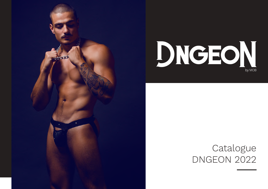



## Catalogue **DNGEON 2022**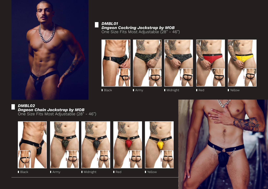

*DMBL01 Dngeon Cockring Jockstrap by MOB* One Size Fits Most Adjustable (28" - 46")











Black **Army** 

**Midnight** 

Red

**I**Yellow

*DMBL02 Dngeon Chain Jockstrap by MOB* One Size Fits Most Adjustable (28" - 46")







**Midnight** 







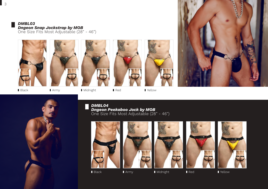





■ Midnight





Yellow





*DMBL04 Dngeon Peekaboo Jock by MOB* One Size Fits Most Adjustable (28" - 46")











Black **Army** 

**Midnight** 

**I**Yellow

3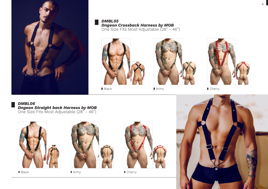

*DMBL05 Dngeon Crossback Harness by MOB* One Size Fits Most Adjustable (28" - 46")



Black



Army



Cherry

*DMBL06 Dngeon Straight back Harness by MOB* One Size Fits Most Adjustable (28" - 46")



Black



Army



Cherry

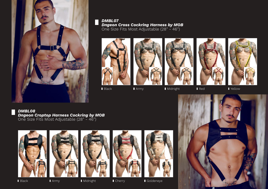

*DMBL07 Dngeon Cross Cockring Harness by MOB* One Size Fits Most Adjustable (28" - 46")

Army









**Red** 



Yellow

*DMBL08 Dngeon Croptop Harness Cockring by MOB* One Size Fits Most Adjustable (28" - 46")













Black

**Army** 

**I** Midnight

**Cherry** 

Goldeneye